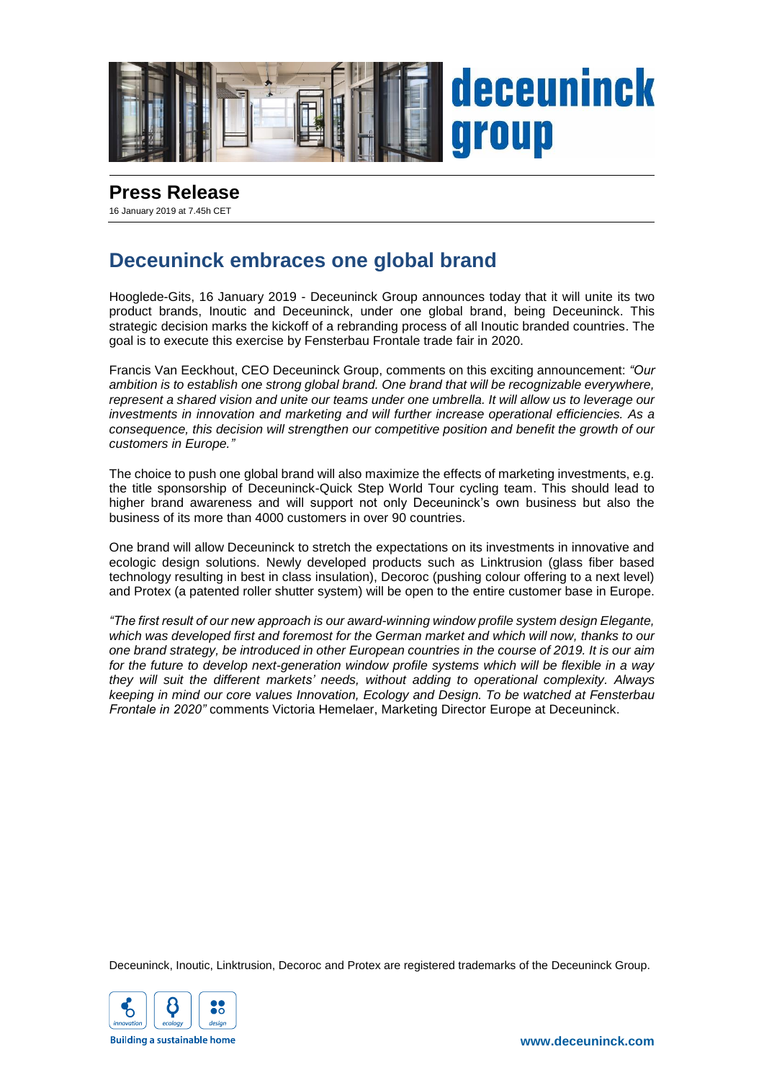

## **Press Release**

16 January 2019 at 7.45h CET

## **Deceuninck embraces one global brand**

Hooglede-Gits, 16 January 2019 - Deceuninck Group announces today that it will unite its two product brands, Inoutic and Deceuninck, under one global brand, being Deceuninck. This strategic decision marks the kickoff of a rebranding process of all Inoutic branded countries. The goal is to execute this exercise by Fensterbau Frontale trade fair in 2020.

Francis Van Eeckhout, CEO Deceuninck Group, comments on this exciting announcement: *"Our ambition is to establish one strong global brand. One brand that will be recognizable everywhere, represent a shared vision and unite our teams under one umbrella. It will allow us to leverage our investments in innovation and marketing and will further increase operational efficiencies. As a consequence, this decision will strengthen our competitive position and benefit the growth of our customers in Europe."*

The choice to push one global brand will also maximize the effects of marketing investments, e.g. the title sponsorship of Deceuninck-Quick Step World Tour cycling team. This should lead to higher brand awareness and will support not only Deceuninck's own business but also the business of its more than 4000 customers in over 90 countries.

One brand will allow Deceuninck to stretch the expectations on its investments in innovative and ecologic design solutions. Newly developed products such as Linktrusion (glass fiber based technology resulting in best in class insulation), Decoroc (pushing colour offering to a next level) and Protex (a patented roller shutter system) will be open to the entire customer base in Europe.

*"The first result of our new approach is our award-winning window profile system design Elegante, which was developed first and foremost for the German market and which will now, thanks to our one brand strategy, be introduced in other European countries in the course of 2019. It is our aim for the future to develop next-generation window profile systems which will be flexible in a way they will suit the different markets' needs, without adding to operational complexity. Always keeping in mind our core values Innovation, Ecology and Design. To be watched at Fensterbau Frontale in 2020"* comments Victoria Hemelaer, Marketing Director Europe at Deceuninck.

Deceuninck, Inoutic, Linktrusion, Decoroc and Protex are registered trademarks of the Deceuninck Group.